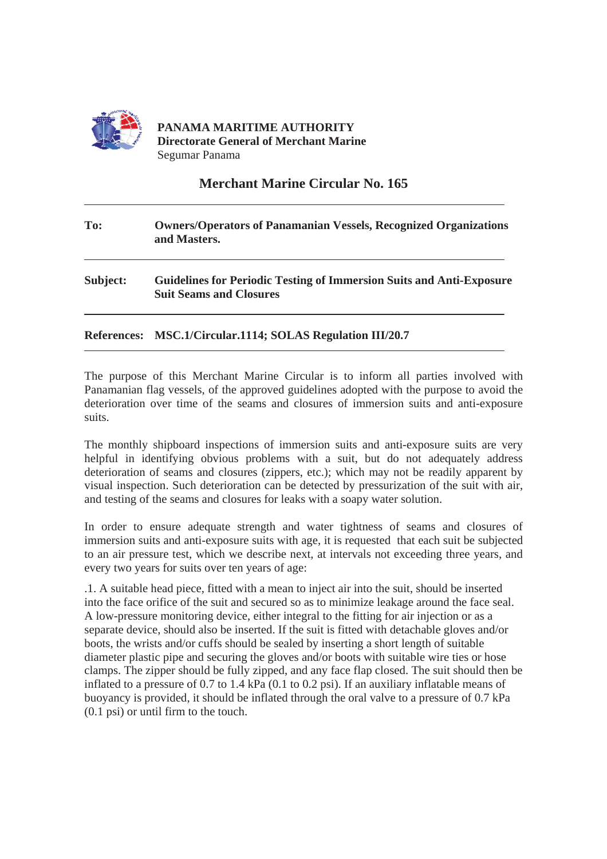

## **Merchant Marine Circular No. 165**

## **To: Owners/Operators of Panamanian Vessels, Recognized Organizations and Masters. Subject: Guidelines for Periodic Testing of Immersion Suits and Anti-Exposure Suit Seams and Closures**

**References: MSC.1/Circular.1114; SOLAS Regulation III/20.7**

The purpose of this Merchant Marine Circular is to inform all parties involved with Panamanian flag vessels, of the approved guidelines adopted with the purpose to avoid the deterioration over time of the seams and closures of immersion suits and anti-exposure suits.

The monthly shipboard inspections of immersion suits and anti-exposure suits are very helpful in identifying obvious problems with a suit, but do not adequately address deterioration of seams and closures (zippers, etc.); which may not be readily apparent by visual inspection. Such deterioration can be detected by pressurization of the suit with air, and testing of the seams and closures for leaks with a soapy water solution.

In order to ensure adequate strength and water tightness of seams and closures of immersion suits and anti-exposure suits with age, it is requested that each suit be subjected to an air pressure test, which we describe next, at intervals not exceeding three years, and every two years for suits over ten years of age:

.1. A suitable head piece, fitted with a mean to inject air into the suit, should be inserted into the face orifice of the suit and secured so as to minimize leakage around the face seal. A low-pressure monitoring device, either integral to the fitting for air injection or as a separate device, should also be inserted. If the suit is fitted with detachable gloves and/or boots, the wrists and/or cuffs should be sealed by inserting a short length of suitable diameter plastic pipe and securing the gloves and/or boots with suitable wire ties or hose clamps. The zipper should be fully zipped, and any face flap closed. The suit should then be inflated to a pressure of 0.7 to 1.4 kPa (0.1 to 0.2 psi). If an auxiliary inflatable means of buoyancy is provided, it should be inflated through the oral valve to a pressure of 0.7 kPa (0.1 psi) or until firm to the touch.